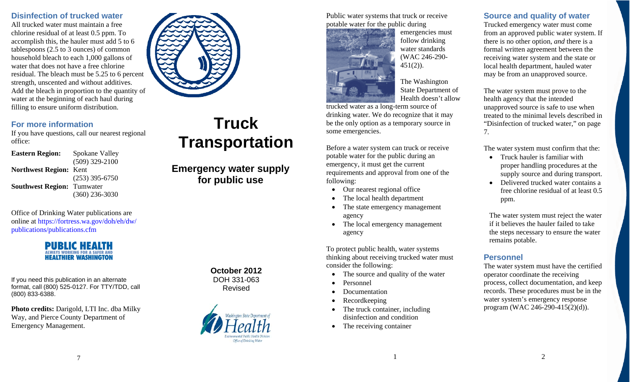#### **Disinfection of trucked water**

All trucked water must maintain a free chlorine residual of at least 0.5 ppm. To accomplish this, the hauler must add 5 to 6 tablespoons (2.5 to 3 ounces) of common household bleach to each 1,000 gallons of water that does not have a free chlorine residual. The bleach must be 5.25 to 6 percent strength, unscented and without additives. Add the bleach in proportion to the quantity of water at the beginning of each haul during filling to ensure uniform distribution.



## **For more information**

If you have questions, call our nearest regional office:

**Eastern Region:** Spokane Valley (509) 329-2100 **Northwest Region:** Kent (253) 395-6750 **Southwest Region:** Tumwater (360) 236-3030

Office of Drinking Water publications are online at [https://fortress.wa.gov/doh/eh/dw/](https://fortress.wa.gov/doh/eh/dw/publications/publications.cfm)  pu[blications/publications.cfm](https://fortress.wa.gov/doh/eh/dw/publications/publications.cfm)



If you need this publication in an alternate format, call (800) 525-0127. For TTY/TDD, call (800) 833-6388.

**Photo credits:** Darigold, LTI Inc. dba Milky Way, and Pierce County Department of Emergency Management.

# **Truck Transportation**

**Emergency water supply for public use** 

> **October 2012** DOH 331-063 Revised



Public water systems that truck or receive potable water for the public during



emergencies must follow drinking water standards (WAC 246-290-  $451(2)$ ).

The Washington State Department of Health doesn't allow

trucked water as a long-term source of drinking water. We do recognize that it may be the only option as a temporary source in some emergencies.

Before a water system can truck or receive potable water for the public during an emergency, it must get the current requirements and approval from one of the following:

- $\bullet$ Our nearest regional office
- •The local health department
- • The state emergency management agency
- $\bullet$  The local emergency management agency

To protect public health, water systems thinking about receiving trucked water must consider the following:

- •The source and quality of the water
- •Personnel
- •Documentation
- •Recordkeeping
- • The truck container, including disinfection and condition

1

•The receiving container

#### **Source and quality of water**

Trucked emergency water must come from an approved public water system. If there is no other option, *and* there is a formal written agreement between the receiving water system and the state or local health department, hauled water may be from an unapproved source.

The water system must prove to the health agency that the intended unapproved source is safe to use when treated to the minimal levels described in "Disinfection of trucked water," on page 7.

The water system must confirm that the:

- $\bullet$  Truck hauler is familiar with proper handling procedures at the supply source and during transport.
- • Delivered trucked water contains a free chlorine residual of at least 0.5 ppm.

The water system must reject the water if it believes the hauler failed to take the steps necessary to ensure the water remains potable.

#### **Personnel**

The water system must have the certified operator coordinate the receiving process, collect documentation, and keep records. These procedures must be in the water system's emergency response program (WAC 246-290-415(2)(d)).

2